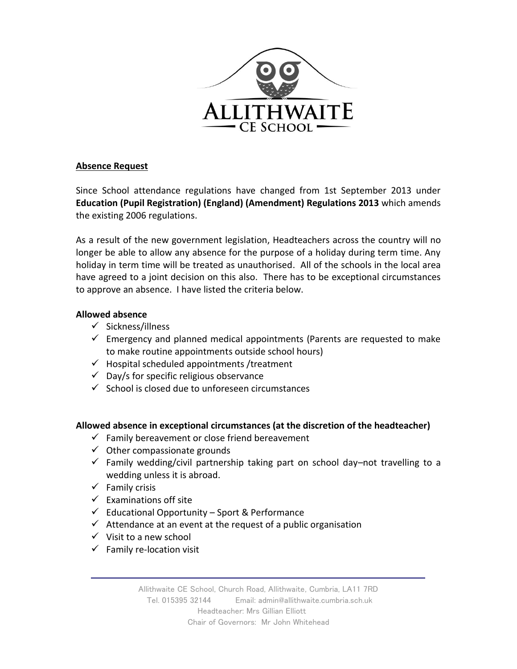

## **Absence Request**

Since School attendance regulations have changed from 1st September 2013 under **Education (Pupil Registration) (England) (Amendment) Regulations 2013** which amends the existing 2006 regulations.

As a result of the new government legislation, Headteachers across the country will no longer be able to allow any absence for the purpose of a holiday during term time. Any holiday in term time will be treated as unauthorised. All of the schools in the local area have agreed to a joint decision on this also. There has to be exceptional circumstances to approve an absence. I have listed the criteria below.

## **Allowed absence**

- ✓ Sickness/illness
- $\checkmark$  Emergency and planned medical appointments (Parents are requested to make to make routine appointments outside school hours)
- $\checkmark$  Hospital scheduled appointments / treatment
- $\checkmark$  Day/s for specific religious observance
- ✓ School is closed due to unforeseen circumstances

## **Allowed absence in exceptional circumstances (at the discretion of the headteacher)**

- $\checkmark$  Family bereavement or close friend bereavement
- $\checkmark$  Other compassionate grounds
- $\checkmark$  Family wedding/civil partnership taking part on school day–not travelling to a wedding unless it is abroad.
- $\checkmark$  Family crisis
- $\checkmark$  Examinations off site
- $\checkmark$  Educational Opportunity Sport & Performance
- $\checkmark$  Attendance at an event at the request of a public organisation
- $\checkmark$  Visit to a new school
- $\checkmark$  Family re-location visit